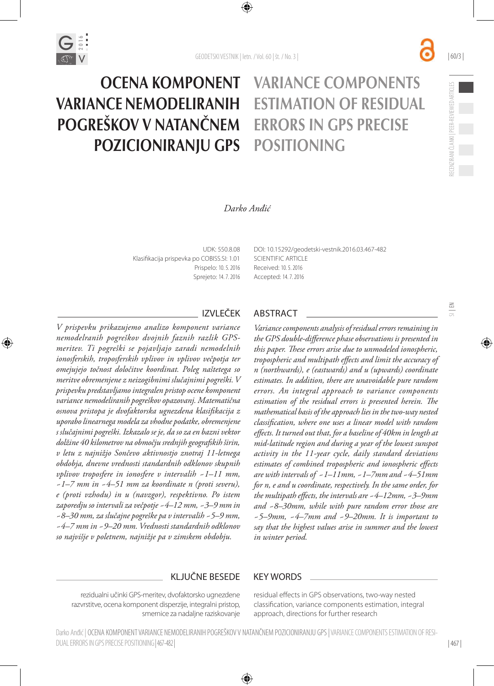



| 467 |

## *Darko Anđić*

UDK: 550.8.08 Klasifikacija prispevka po COBISS.SI: 1.01 Prispelo: 10. 5. 2016 Sprejeto: 14. 7. 2016

OCENA KOMPONENT

POZICIONIRANJU GPS

VARIANCE NEMODELIRANIH

POGREŠKOV V NATANČNEM

DOI: [10.15292/geodetski-vestnik.2016.03.](http://dx.doi.org/10.15292/geodetski-vestnik.2015.02.246-261)467-482 SCIENTIFIC ARTICLE Received: 10. 5. 2016 Accepted: 14. 7. 2016

VARIANCE COMPONENTS

ESTIMATION OF RESIDUAL

ERRORS IN GPS PRECISE

POSITIONING

*V prispevku prikazujemo analizo komponent variance nemodelranih pogreškov dvojnih faznih razlik GPSmeritev. Ti pogreški se pojavljajo zaradi nemodelnih ionosferskih, troposferskih vplivov in vplivov večpotja ter omejujejo točnost določitve koordinat. Poleg naštetega so meritve obremenjene z neizogibnimi slučajnimi pogreški. V prispevku predstavljamo integralen pristop ocene komponent variance nemodeliranih pogreškov opazovanj. Matematična osnova pristopa je dvofaktorska ugnezdena klasifikacija z uporabo linearnega modela za vhodne podatke, obremenjene s slučajnimi pogreški. Izkazalo se je, da so za en bazni vektor dolžine 40 kilometrov na območju srednjih geografskih širin, v letu z najnižjo Sončevo aktivnostjo znotraj 11-letnega obdobja, dnevne vrednosti standardnih odklonov skupnih vplivov troposfere in ionosfere v intervalih ~1–11 mm, ~1–7 mm in ~4–51 mm za koordinate n (proti severu), e (proti vzhodu) in u (navzgor), respektivno. Po istem zaporedju so intervali za večpotje ~4–12 mm, ~3–9 mm in ~8–30 mm, za slučajne pogreške pa v intervalih ~5–9 mm, ~4–7 mm in ~9–20 mm. Vrednosti standardnih odklonov so najvišje v poletnem, najnižje pa v zimskem obdobju.*

## IZVLEČEK ABSTRACT

*Variance components analysis of residual errors remaining in the GPS double-difference phase observations is presented in this paper. These errors arise due to unmodeled ionospheric, tropospheric and multipath effects and limit the accuracy of n (northwards), e (eastwards) and u (upwards) coordinate estimates. In addition, there are unavoidable pure random errors. An integral approach to variance components estimation of the residual errors is presented herein. The mathematical basis of the approach lies in the two-way nested classification, where one uses a linear model with random effects. It turned out that, for a baseline of 40km in length at mid-latitude region and during a year of the lowest sunspot activity in the 11-year cycle, daily standard deviations estimates of combined tropospheric and ionospheric effects are with intervals of ~1–11mm, ~1–7mm and ~4–51mm for n, e and u coordinate, respectively. In the same order, for the multipath effects, the intervals are ~4–12mm, ~3–9mm and ~8–30mm, while with pure random error those are ~5–9mm, ~4–7mm and ~9–20mm. It is important to*  say that the highest values arise in summer and the lowest *in winter period.*

## KLJUČNE BESEDE KEY WORDS

rezidualni učinki GPS-meritev, dvofaktorsko ugnezdene razvrstitve, ocena komponent disperzije, integralni pristop, smernice za nadaljne raziskovanje residual effects in GPS observations, two-way nested classification, variance components estimation, integral approach, directions for further research

Darko Anđić | OCENA KOMPONENT VARIANCE NEMODELIRANIH POGREŠKOV V NATANČNEM POZICIONIRANJU GPS | VARIANCE COMPONENTS ESTIMATION OF RESI-DUAL ERRORS IN GPS PRECISE POSITIONING| 467-482|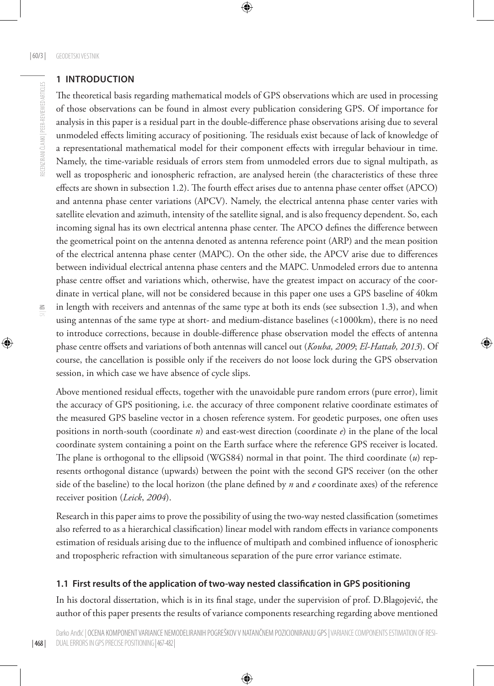RECENZIRANI ČLANKI | PEER-REVIEWED ARTICLES

RECENZIRANI ČLANKI | PEER-REVIEWED ARTICLES

## **1 INTRODUCTION**

The theoretical basis regarding mathematical models of GPS observations which are used in processing of those observations can be found in almost every publication considering GPS. Of importance for analysis in this paper is a residual part in the double-difference phase observations arising due to several unmodeled effects limiting accuracy of positioning. The residuals exist because of lack of knowledge of a representational mathematical model for their component effects with irregular behaviour in time. Namely, the time-variable residuals of errors stem from unmodeled errors due to signal multipath, as well as tropospheric and ionospheric refraction, are analysed herein (the characteristics of these three effects are shown in subsection 1.2). The fourth effect arises due to antenna phase center offset (APCO) and antenna phase center variations (APCV). Namely, the electrical antenna phase center varies with satellite elevation and azimuth, intensity of the satellite signal, and is also frequency dependent. So, each incoming signal has its own electrical antenna phase center. The APCO defines the difference between the geometrical point on the antenna denoted as antenna reference point (ARP) and the mean position of the electrical antenna phase center (MAPC). On the other side, the APCV arise due to differences between individual electrical antenna phase centers and the MAPC. Unmodeled errors due to antenna phase centre offset and variations which, otherwise, have the greatest impact on accuracy of the coordinate in vertical plane, will not be considered because in this paper one uses a GPS baseline of 40km in length with receivers and antennas of the same type at both its ends (see subsection 1.3), and when using antennas of the same type at short- and medium-distance baselines (<1000km), there is no need to introduce corrections, because in double-difference phase observation model the effects of antenna phase centre offsets and variations of both antennas will cancel out (*Kouba, 2009*; *El-Hattab, 2013*). Of

course, the cancellation is possible only if the receivers do not loose lock during the GPS observation session, in which case we have absence of cycle slips. Above mentioned residual effects, together with the unavoidable pure random errors (pure error), limit the accuracy of GPS positioning, i.e. the accuracy of three component relative coordinate estimates of the measured GPS baseline vector in a chosen reference system. For geodetic purposes, one often uses positions in north-south (coordinate *n*) and east-west direction (coordinate *e*) in the plane of the local coordinate system containing a point on the Earth surface where the reference GPS receiver is located. The plane is orthogonal to the ellipsoid (WGS84) normal in that point. The third coordinate (*u*) rep-

resents orthogonal distance (upwards) between the point with the second GPS receiver (on the other side of the baseline) to the local horizon (the plane defined by *n* and *e* coordinate axes) of the reference receiver position (*Leick*, *2004*).

Research in this paper aims to prove the possibility of using the two-way nested classification (sometimes also referred to as a hierarchical classification) linear model with random effects in variance components estimation of residuals arising due to the influence of multipath and combined influence of ionospheric and tropospheric refraction with simultaneous separation of the pure error variance estimate.

## **1.1 First results of the application of two-way nested classification in GPS positioning**

In his doctoral dissertation, which is in its final stage, under the supervision of prof. D.Blagojević, the author of this paper presents the results of variance components researching regarding above mentioned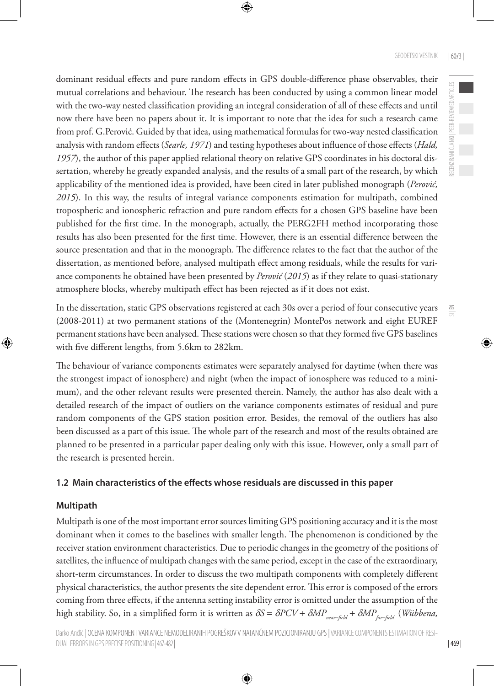RECENZIRANI ČLANKI | PEER-REVIEWED ARTICLES

RECENZIRANI ČLANKI | PEER-REVIEWED ARTICLES

 $\leq$ 

dominant residual effects and pure random effects in GPS double-difference phase observables, their mutual correlations and behaviour. The research has been conducted by using a common linear model with the two-way nested classification providing an integral consideration of all of these effects and until now there have been no papers about it. It is important to note that the idea for such a research came from prof. G.Perović. Guided by that idea, using mathematical formulas for two-way nested classification analysis with random effects (*Searle, 1971*) and testing hypotheses about influence of those effects (*Hald, 1957*), the author of this paper applied relational theory on relative GPS coordinates in his doctoral dissertation, whereby he greatly expanded analysis, and the results of a small part of the research, by which applicability of the mentioned idea is provided, have been cited in later published monograph (*Perović, 2015*). In this way, the results of integral variance components estimation for multipath, combined tropospheric and ionospheric refraction and pure random effects for a chosen GPS baseline have been published for the first time. In the monograph, actually, the PERG2FH method incorporating those results has also been presented for the first time. However, there is an essential difference between the source presentation and that in the monograph. The difference relates to the fact that the author of the dissertation, as mentioned before, analysed multipath effect among residuals, while the results for variance components he obtained have been presented by *Perović* (*2015*) as if they relate to quasi-stationary atmosphere blocks, whereby multipath effect has been rejected as if it does not exist.

In the dissertation, static GPS observations registered at each 30s over a period of four consecutive years (2008-2011) at two permanent stations of the (Montenegrin) MontePos network and eight EUREF permanent stations have been analysed. These stations were chosen so that they formed five GPS baselines with five different lengths, from 5.6km to 282km.

The behaviour of variance components estimates were separately analysed for daytime (when there was the strongest impact of ionosphere) and night (when the impact of ionosphere was reduced to a minimum), and the other relevant results were presented therein. Namely, the author has also dealt with a detailed research of the impact of outliers on the variance components estimates of residual and pure random components of the GPS station position error. Besides, the removal of the outliers has also been discussed as a part of this issue. The whole part of the research and most of the results obtained are planned to be presented in a particular paper dealing only with this issue. However, only a small part of the research is presented herein.

## **1.2 Main characteristics of the effects whose residuals are discussed in this paper**

## **Multipath**

Multipath is one of the most important error sources limiting GPS positioning accuracy and it is the most dominant when it comes to the baselines with smaller length. The phenomenon is conditioned by the receiver station environment characteristics. Due to periodic changes in the geometry of the positions of satellites, the influence of multipath changes with the same period, except in the case of the extraordinary, short-term circumstances. In order to discuss the two multipath components with completely different physical characteristics, the author presents the site dependent error. This error is composed of the errors coming from three effects, if the antenna setting instability error is omitted under the assumption of the high stability. So, in a simplified form it is written as  $\delta S = \delta PCV + \delta MP_{\text{near-field}} + \delta MP_{\text{far-field}}$  (*Wübbena*,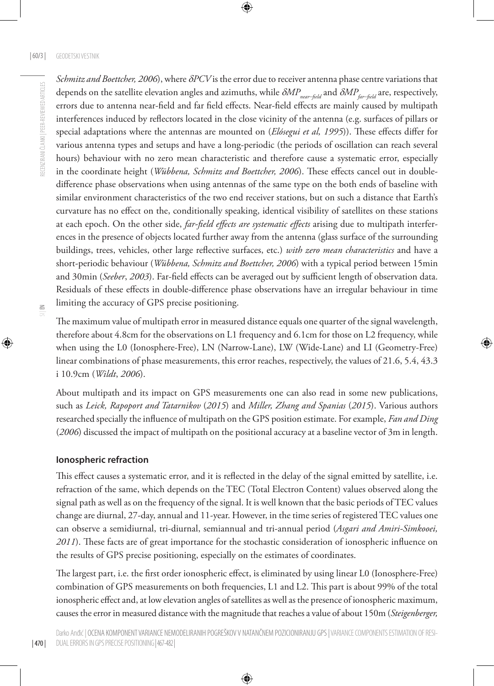*Schmitz and Boettcher, 2006*), where δ*PCV* is the error due to receiver antenna phase centre variations that depends on the satellite elevation angles and azimuths, while δ*MP*<sub>near−field</sub> and δ*MP*<sub>far−field</sub> are, respectively, errors due to antenna near-field and far field effects. Near-field effects are mainly caused by multipath interferences induced by reflectors located in the close vicinity of the antenna (e.g. surfaces of pillars or special adaptations where the antennas are mounted on (*Elósegui et al, 1995*)). These effects differ for various antenna types and setups and have a long-periodic (the periods of oscillation can reach several hours) behaviour with no zero mean characteristic and therefore cause a systematic error, especially in the coordinate height (*Wübbena, Schmitz and Boettcher, 2006*). These effects cancel out in doubledifference phase observations when using antennas of the same type on the both ends of baseline with similar environment characteristics of the two end receiver stations, but on such a distance that Earth's curvature has no effect on the, conditionally speaking, identical visibility of satellites on these stations at each epoch. On the other side, *far-field effects are systematic effects* arising due to multipath interferences in the presence of objects located further away from the antenna (glass surface of the surrounding buildings, trees, vehicles, other large reflective surfaces, etc.) *with zero mean characteristics* and have a short-periodic behaviour (*Wübbena, Schmitz and Boettcher, 2006*) with a typical period between 15min and 30min (*Seeber*, *2003*). Far-field effects can be averaged out by sufficient length of observation data. Residuals of these effects in double-difference phase observations have an irregular behaviour in time limiting the accuracy of GPS precise positioning.

| 470 |

The maximum value of multipath error in measured distance equals one quarter of the signal wavelength, therefore about 4.8cm for the observations on L1 frequency and 6.1cm for those on L2 frequency, while when using the L0 (Ionosphere-Free), LN (Narrow-Lane), LW (Wide-Lane) and LI (Geometry-Free) linear combinations of phase measurements, this error reaches, respectively, the values of 21.6, 5.4, 43.3 i 10.9cm (*Wildt*, *2006*).

About multipath and its impact on GPS measurements one can also read in some new publications, such as *Leick, Rapoport and Tatarnikov* (*2015*) and *Miller, Zhang and Spanias* (*2015*). Various authors researched specially the influence of multipath on the GPS position estimate. For example, *Fan and Ding*  (*2006*) discussed the impact of multipath on the positional accuracy at a baseline vector of 3m in length.

## **Ionospheric refraction**

This effect causes a systematic error, and it is reflected in the delay of the signal emitted by satellite, i.e. refraction of the same, which depends on the TEC (Total Electron Content) values observed along the signal path as well as on the frequency of the signal. It is well known that the basic periods of TEC values change are diurnal, 27-day, annual and 11-year. However, in the time series of registered TEC values one can observe a semidiurnal, tri-diurnal, semiannual and tri-annual period (*Asgari and Amiri-Simkooei, 2011*). These facts are of great importance for the stochastic consideration of ionospheric influence on the results of GPS precise positioning, especially on the estimates of coordinates.

The largest part, i.e. the first order ionospheric effect, is eliminated by using linear L0 (Ionosphere-Free) combination of GPS measurements on both frequencies, L1 and L2. This part is about 99% of the total ionospheric effect and, at low elevation angles of satellites as well as the presence of ionospheric maximum, causes the error in measured distance with the magnitude that reaches a value of about 150m (*Steigenberger,*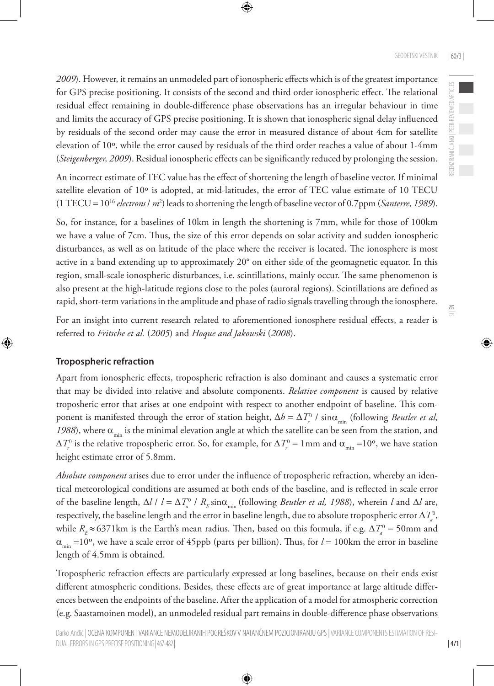*2009*). However, it remains an unmodeled part of ionospheric effects which is of the greatest importance for GPS precise positioning. It consists of the second and third order ionospheric effect. The relational residual effect remaining in double-difference phase observations has an irregular behaviour in time and limits the accuracy of GPS precise positioning. It is shown that ionospheric signal delay influenced by residuals of the second order may cause the error in measured distance of about 4cm for satellite elevation of 10º, while the error caused by residuals of the third order reaches a value of about 1-4mm (*Steigenberger, 2009*). Residual ionospheric effects can be significantly reduced by prolonging the session.

An incorrect estimate of TEC value has the effect of shortening the length of baseline vector. If minimal satellite elevation of 10º is adopted, at mid-latitudes, the error of TEC value estimate of 10 TECU (1 TECU = 1016 *electrons* / *m*<sup>2</sup> ) leads to shortening the length of baseline vector of 0.7ppm (*Santerre, 1989*).

So, for instance, for a baselines of 10km in length the shortening is 7mm, while for those of 100km we have a value of 7cm. Thus, the size of this error depends on solar activity and sudden ionospheric disturbances, as well as on latitude of the place where the receiver is located. The ionosphere is most active in a band extending up to approximately 20° on either side of the geomagnetic equator. In this region, small-scale ionospheric disturbances, i.e. scintillations, mainly occur. The same phenomenon is also present at the high-latitude regions close to the poles (auroral regions). Scintillations are defined as rapid, short-term variations in the amplitude and phase of radio signals travelling through the ionosphere.

For an insight into current research related to aforementioned ionosphere residual effects, a reader is referred to *Fritsche et al.* (*2005*) and *Hoque and Jakowski* (*2008*).

#### **Tropospheric refraction**

Apart from ionospheric effects, tropospheric refraction is also dominant and causes a systematic error that may be divided into relative and absolute components. *Relative component* is caused by relative troposheric error that arises at one endpoint with respect to another endpoint of baseline. This component is manifested through the error of station height,  $\Delta h = \Delta T_r^0$  / sin $\alpha_{\min}$  (following *Beutler et al*, *1988*), where  $\alpha_{\min}$  is the minimal elevation angle at which the satellite can be seen from the station, and  $\Delta T_r^0$  is the relative tropospheric error. So, for example, for  $\Delta T_r^0 = 1$  mm and  $\alpha_{\min} = 10^{\circ}$ , we have station height estimate error of 5.8mm.

*Absolute component* arises due to error under the influence of tropospheric refraction, whereby an identical meteorological conditions are assumed at both ends of the baseline, and is reflected in scale error of the baseline length,  $\Delta l / l = \Delta T_a^0 / R_E \sin \alpha_{\min}$  (following *Beutler et al, 1988*), wherein *l* and  $\Delta l$  are, respectively, the baseline length and the error in baseline length, due to absolute tropospheric error  $\Delta T_a^0,$ while  $R_E \approx 6371 \text{km}$  is the Earth's mean radius. Then, based on this formula, if e.g.  $\Delta T_a^0 = 50 \text{mm}$  and  $\alpha_{\min}$  =10°, we have a scale error of 45ppb (parts per billion). Thus, for  $l = 100$ km the error in baseline length of 4.5mm is obtained.

Tropospheric refraction effects are particularly expressed at long baselines, because on their ends exist different atmospheric conditions. Besides, these effects are of great importance at large altitude differences between the endpoints of the baseline. After the application of a model for atmospheric correction (e.g. Saastamoinen model), an unmodeled residual part remains in double-difference phase observations  $\leq$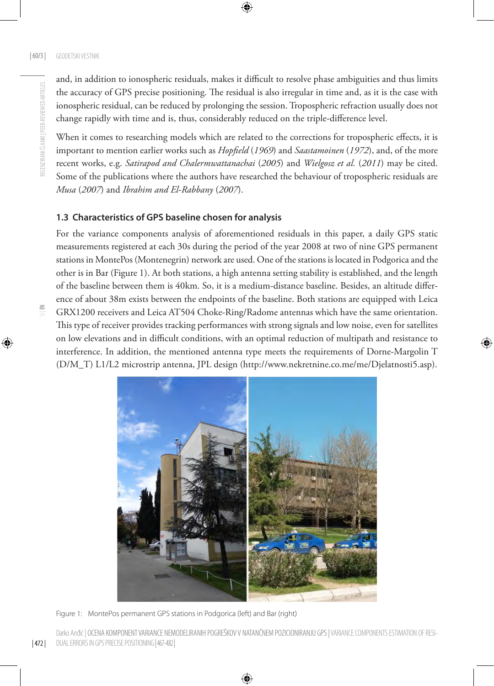$\Xi$ 

and, in addition to ionospheric residuals, makes it difficult to resolve phase ambiguities and thus limits the accuracy of GPS precise positioning. The residual is also irregular in time and, as it is the case with ionospheric residual, can be reduced by prolonging the session. Tropospheric refraction usually does not change rapidly with time and is, thus, considerably reduced on the triple-difference level.

When it comes to researching models which are related to the corrections for tropospheric effects, it is important to mention earlier works such as *Hopfield* (*1969*) and *Saastamoinen* (*1972*), and, of the more recent works, e.g. *Satirapod and Chalermwattanachai* (*2005*) and *Wielgosz et al.* (*2011*) may be cited. Some of the publications where the authors have researched the behaviour of tropospheric residuals are *Musa* (*2007*) and *Ibrahim and El-Rabbany* (*2007*).

## **1.3 Characteristics of GPS baseline chosen for analysis**

For the variance components analysis of aforementioned residuals in this paper, a daily GPS static measurements registered at each 30s during the period of the year 2008 at two of nine GPS permanent stations in MontePos (Montenegrin) network are used. One of the stations is located in Podgorica and the other is in Bar (Figure 1). At both stations, a high antenna setting stability is established, and the length of the baseline between them is 40km. So, it is a medium-distance baseline. Besides, an altitude difference of about 38m exists between the endpoints of the baseline. Both stations are equipped with Leica GRX1200 receivers and Leica AT504 Choke-Ring/Radome antennas which have the same orientation. This type of receiver provides tracking performances with strong signals and low noise, even for satellites on low elevations and in difficult conditions, with an optimal reduction of multipath and resistance to interference. In addition, the mentioned antenna type meets the requirements of Dorne-Margolin T (D/M\_T) L1/L2 microstrip antenna, JPL design ([http://www.nekretnine.co.me/me/Djelatnosti5.asp\)](http://www.nekretnine.co.me/me/Djelatnosti5.asp).



Figure 1: MontePos permanent GPS stations in Podgorica (left) and Bar (right)

| 472 | Darko Andić | OCENA KOMPONENT VARIANCE NEMODELIRANIH POGREŠKOV V NATANČNEM POZICIONIRANJU GPS | VARIANCE COMPONENTS ESTIMATION OF RESI-DUAL ERRORS IN GPS PRECISE POSITIONING| 467-482|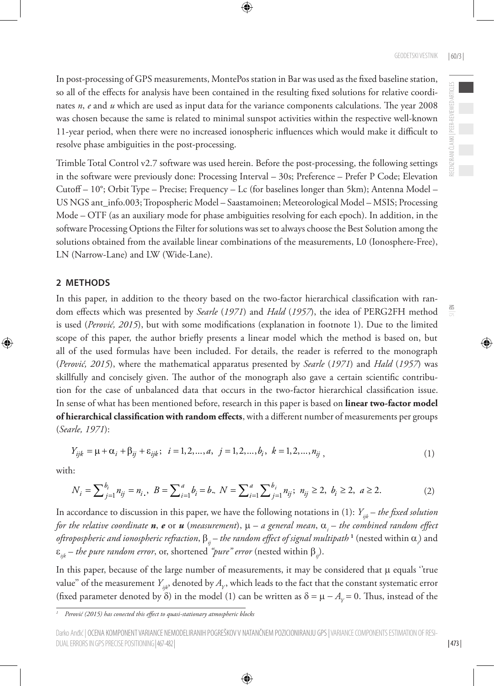$\Xi$ 

In post-processing of GPS measurements, MontePos station in Bar was used as the fixed baseline station, so all of the effects for analysis have been contained in the resulting fixed solutions for relative coordinates *n*, *e* and *u* which are used as input data for the variance components calculations. The year 2008 was chosen because the same is related to minimal sunspot activities within the respective well-known 11-year period, when there were no increased ionospheric influences which would make it difficult to resolve phase ambiguities in the post-processing.

Trimble Total Control v2.7 software was used herein. Before the post-processing, the following settings in the software were previously done: Processing Interval – 30s; Preference – Prefer P Code; Elevation Cutoff – 10°; Orbit Type – Precise; Frequency – Lc (for baselines longer than 5km); Antenna Model – US NGS ant\_info.003; Tropospheric Model – Saastamoinen; Meteorological Model – MSIS; Processing Mode – OTF (as an auxiliary mode for phase ambiguities resolving for each epoch). In addition, in the software Processing Options the Filter for solutions was set to always choose the Best Solution among the solutions obtained from the available linear combinations of the measurements, L0 (Ionosphere-Free), LN (Narrow-Lane) and LW (Wide-Lane).

## **2 METHODS**

In this paper, in addition to the theory based on the two-factor hierarchical classification with random effects which was presented by *Searle* (*1971*) and *Hald* (*1957*), the idea of PERG2FH method is used (*Perović, 2015*), but with some modifications (explanation in footnote 1). Due to the limited scope of this paper, the author briefly presents a linear model which the method is based on, but all of the used formulas have been included. For details, the reader is referred to the monograph (*Perović, 2015*), where the mathematical apparatus presented by *Searle* (*1971*) and *Hald* (*1957*) was skillfully and concisely given. The author of the monograph also gave a certain scientific contribution for the case of unbalanced data that occurs in the two-factor hierarchical classification issue. In sense of what has been mentioned before, research in this paper is based on **linear two-factor model of hierarchical classification with random effects**, with a different number of measurements per groups (*Searle, 1971*):

$$
Y_{ijk} = \mu + \alpha_i + \beta_{ij} + \varepsilon_{ijk}; \quad i = 1, 2, ..., a, \quad j = 1, 2, ..., b_i, \quad k = 1, 2, ..., n_{ij}, \tag{1}
$$

with:

$$
N_i = \sum_{j=1}^{b_i} n_{ij} = n_i, \ B = \sum_{i=1}^{a} b_i = b, \ N = \sum_{i=1}^{a} \sum_{j=1}^{b_i} n_{ij}; \ n_{ij} \ge 2, \ b_i \ge 2, \ a \ge 2. \tag{2}
$$

In accordance to discussion in this paper, we have the following notations in (1):  $Y_{ijk}$  – *the fixed solution for the relative coordinate n*, *e* or *u* (*measurement*),  $\mu$  – *a* general mean,  $\alpha$ <sub>*i*</sub> – the combined random effect *oftropospheric and ionospheric refraction*, β*ij* – *the random effect of signal multipath* **<sup>1</sup>** (nested within α*<sup>i</sup>* ) and ε*ijk* – *the pure random error*, or, shortened *"pure" error* (nested within β*ij*).

In this paper, because of the large number of measurements, it may be considered that  $\mu$  equals "true value" of the measurement  $Y_{\mu\nu}$ , denoted by  $A_{\nu}$ , which leads to the fact that the constant systematic error (fixed parameter denoted by  $\delta$ ) in the model (1) can be written as  $\delta = \mu - A_v = 0$ . Thus, instead of the

*<sup>1</sup> Perović (2015) has conected this effect to quasi-stationary atmospheric blocks*

Darko Anđić | OCENA KOMPONENT VARIANCE NEMODELIRANIH POGREŠKOV V NATANČNEM POZICIONIRANJU GPS | VARIANCE COMPONENTS ESTIMATION OF RESI-DUAL ERRORS IN GPS PRECISE POSITIONING| 467-482|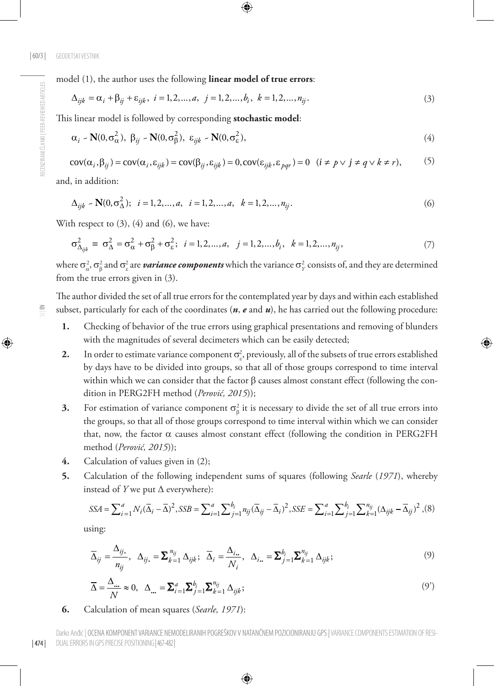model (1), the author uses the following **linear model of true errors**:

$$
\Delta_{ijk} = \alpha_i + \beta_{ij} + \varepsilon_{ijk}, \ i = 1, 2, ..., a, \ j = 1, 2, ..., b_i, \ k = 1, 2, ..., n_{ij}.
$$
\n(3)

This linear model is followed by corresponding **stochastic model**:

$$
\alpha_i \sim \mathbf{N}(0, \sigma_\alpha^2), \ \beta_{ij} \sim \mathbf{N}(0, \sigma_\beta^2), \ \varepsilon_{ijk} \sim \mathbf{N}(0, \sigma_\varepsilon^2), \tag{4}
$$

$$
cov(\alpha_i, \beta_{ij}) = cov(\alpha_i, \varepsilon_{ijk}) = cov(\beta_{ij}, \varepsilon_{ijk}) = 0, cov(\varepsilon_{ijk}, \varepsilon_{pqr}) = 0 \quad (i \neq p \lor j \neq q \lor k \neq r),
$$
 (5)

and, in addition:

$$
\Delta_{ijk} \sim \mathbf{N}(0, \sigma_{\Delta}^2); \quad i = 1, 2, ..., a, \quad i = 1, 2, ..., a, \quad k = 1, 2, ..., n_{ij}.
$$
\n
$$
(6)
$$

With respect to  $(3)$ ,  $(4)$  and  $(6)$ , we have:

$$
\sigma_{\Delta_{ijk}}^2 \equiv \sigma_{\Delta}^2 = \sigma_{\alpha}^2 + \sigma_{\beta}^2 + \sigma_{\epsilon}^2; \ \ i = 1, 2, ..., a, \ \ j = 1, 2, ..., b_i, \ \ k = 1, 2, ..., n_{ij}, \tag{7}
$$

where  $\sigma^2_\alpha$ ,  $\sigma^2_\beta$  and  $\sigma^2_\epsilon$  are *variance components* which the variance  $\sigma^2_Y$  consists of, and they are determined from the true errors given in (3).

The author divided the set of all true errors for the contemplated year by days and within each established subset, particularly for each of the coordinates (*n*, *e* and *u*), he has carried out the following procedure:

- **1.** Checking of behavior of the true errors using graphical presentations and removing of blunders with the magnitudes of several decimeters which can be easily detected;
- **2.** In order to estimate variance component  $\sigma_{\varepsilon}^2$ , previously, all of the subsets of true errors established by days have to be divided into groups, so that all of those groups correspond to time interval within which we can consider that the factor β causes almost constant effect (following the condition in PERG2FH method (*Perović, 2015*));
- **3.** For estimation of variance component  $\sigma_{\beta}^2$  it is necessary to divide the set of all true errors into the groups, so that all of those groups correspond to time interval within which we can consider that, now, the factor α causes almost constant effect (following the condition in PERG2FH method (*Perović, 2015*));
- **4.** Calculation of values given in (2);
- **5.** Calculation of the following independent sums of squares (following *Searle* (*1971*), whereby instead of *Y* we put ∆ everywhere):

$$
SSA = \sum_{i=1}^{a} N_i (\overline{\Delta}_i - \overline{\Delta})^2, SSB = \sum_{i=1}^{a} \sum_{j=1}^{b_i} n_{ij} (\overline{\Delta}_{ij} - \overline{\Delta}_i)^2, SSE = \sum_{i=1}^{a} \sum_{j=1}^{b_i} \sum_{k=1}^{n_{ij}} (\Delta_{ijk} - \overline{\Delta}_{ij})^2, (8)
$$

using:

$$
\overline{\Delta}_{ij} = \frac{\Delta_{ij}}{n_{ij}}, \quad \Delta_{ij} = \sum_{k=1}^{n_{ij}} \Delta_{ijk}; \quad \overline{\Delta}_{i} = \frac{\Delta_{i}}{N_{i}}, \quad \Delta_{i} = \sum_{j=1}^{b_{i}} \sum_{k=1}^{n_{ij}} \Delta_{ijk};
$$
\n(9)

$$
\overline{\Delta} = \frac{\Delta_{\dots}}{N} \approx 0, \quad \Delta_{\dots} = \sum_{i=1}^{a} \sum_{j=1}^{b_i} \sum_{k=1}^{n_{ij}} \Delta_{ijk};
$$
\n(9')

**6.** Calculation of mean squares (*Searle, 1971*):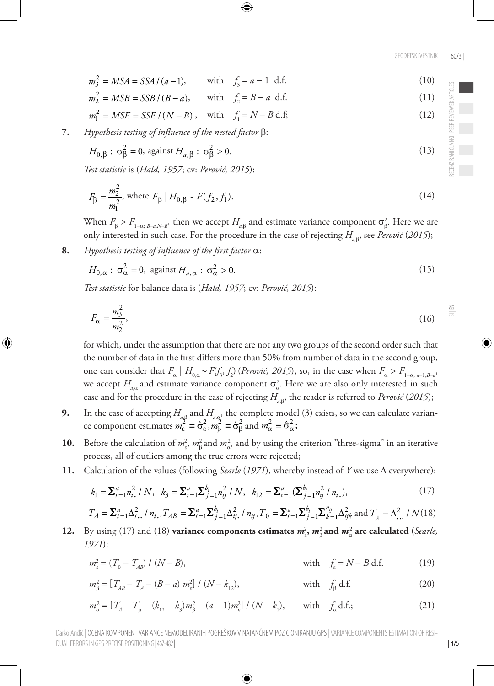GEODETSKI VESTNIK | 60/3 |

- $m_3^2 = MSA = SSA / (a-1)$ , with  $f_3 = a-1$  d.f. (10)
- $m_2^2 = MSB = SSB / (B a),$  with  $f_2 = B a \text{ d.f.}$  (11)
- $m_1^2 = MSE = SSE / (N B)$ , with  $f_1 = N B d.f$ ; (12)

**7.** *Hypothesis testing of influence of the nested factor* β:

$$
H_{0,\beta}: \sigma_{\beta}^2 = 0, \text{ against } H_{a,\beta}: \sigma_{\beta}^2 > 0.
$$
 (13)

*Test statistic* is (*Hald, 1957*; cv: *Perović, 2015*):

$$
F_{\beta} = \frac{m_2^2}{m_1^2}, \text{ where } F_{\beta} \mid H_{0,\beta} \sim F(f_2, f_1). \tag{14}
$$

When  $F_{\beta} > F_{1-\alpha; B-\alpha,N-B}$ , then we accept  $H_{a,\beta}$  and estimate variance component  $\sigma_{\beta}^2$ . Here we are only interested in such case. For the procedure in the case of rejecting  $H_{\alpha\beta}$ , see *Perović* (2015);

**8.** *Hypothesis testing of influence of the first factor* α:

DUAL ERRORS IN GPS PRECISE POSITIONING| 467-482|

$$
H_{0,\alpha}: \sigma_{\alpha}^2 = 0, \text{ against } H_{a,\alpha}: \sigma_{\alpha}^2 > 0.
$$
 (15)

*Test statistic* for balance data is (*Hald, 1957*; cv: *Perović, 2015*):

$$
F_{\alpha} = \frac{m_3^2}{m_2^2},\tag{16}
$$

for which, under the assumption that there are not any two groups of the second order such that the number of data in the first differs more than 50% from number of data in the second group, one can consider that  $F_a \mid H_{0,a} \sim F(f_3, f_2)$  (*Perović, 2015*), so, in the case when  $F_a > F_{1-a; a-1, B-a}$ we accept  $H_{a,\alpha}$  and estimate variance component  $\sigma_{\alpha}^2$ . Here we are also only interested in such case and for the procedure in the case of rejecting *Ha*,<sup>β</sup> , the reader is referred to *Perović* (*2015*);

- **9.** In the case of accepting  $H_{a,\beta}$  and  $H_{a,\alpha}$ , the complete model (3) exists, so we can calculate variance component estimates  $m_{\varepsilon}^2 = \hat{\sigma}_{\varepsilon}^2$ ,  $m_{\beta}^2 = \hat{\sigma}_{\beta}^2$  and  $m_{\alpha}^2 = \hat{\sigma}_{\alpha}^2$ ;
- **10.** Before the calculation of  $m_{\epsilon}^2$ ,  $m_{\beta}^2$  and  $m_{\alpha}^2$ , and by using the criterion "three-sigma" in an iterative process, all of outliers among the true errors were rejected;
- **11.** Calculation of the values (following *Searle* (*1971*), whereby instead of *Y* we use ∆ everywhere):

$$
k_1 = \sum_{i=1}^a n_i^2 / N, \quad k_3 = \sum_{i=1}^a \sum_{j=1}^{b_i} n_{ij}^2 / N, \quad k_{12} = \sum_{i=1}^a (\sum_{j=1}^{b_i} n_{ij}^2 / n_{i.}), \tag{17}
$$

$$
T_A = \sum_{i=1}^a \Delta_{i}^2
$$
,  $\ln_i$ ,  $T_{AB} = \sum_{i=1}^a \sum_{j=1}^{b_i} \Delta_{ij}^2$ ,  $\ln_{ij}$ ,  $T_0 = \sum_{i=1}^a \sum_{j=1}^{b_i} \sum_{k=1}^{n_{ij}} \Delta_{ijk}^2$  and  $T_\mu = \Delta_{...}^2 / N(18)$ 

**12.** By using (17) and (18) **variance components estimates**  $m_{\varepsilon}^2$ **,**  $m_{\beta}^2$  **and**  $m_{\alpha}^2$  **are calculated (***Searle***,** *1971*):

$$
m_{\varepsilon}^{2} = (T_{0} - T_{AB}) / (N - B), \qquad \text{with} \quad f_{\varepsilon} = N - B \text{ d.f.}
$$
 (19)

$$
m_{\beta}^{2} = [T_{AB} - T_{A} - (B - a) m_{\varepsilon}^{2}] / (N - k_{12}), \qquad \text{with} \quad f_{\beta} \text{ d.f.}
$$
 (20)

$$
m_{\alpha}^{2} = [T_{A} - T_{\mu} - (k_{12} - k_{3})m_{\beta}^{2} - (a - 1)m_{\epsilon}^{2}] / (N - k_{1}), \text{ with } f_{\alpha} \text{ d.f.};
$$
\n(21)

Darko Anđić | OCENA KOMPONENT VARIANCE NEMODELIRANIH POGREŠKOV V NATANČNEM POZICIONIRANJU GPS | VARIANCE COMPONENTS ESTIMATION OF RESI-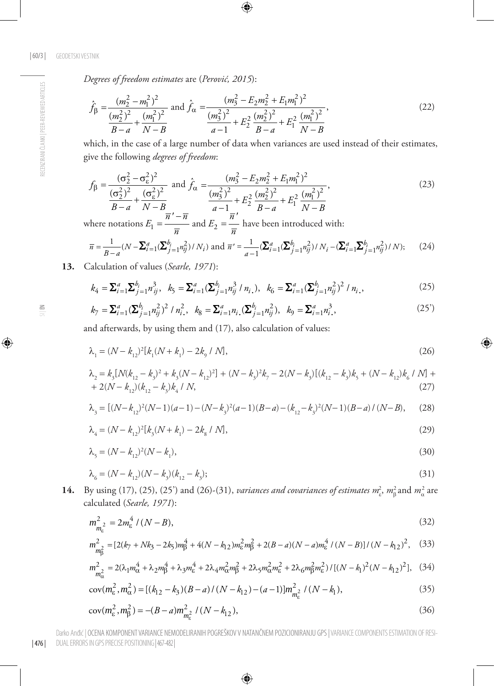*Degrees of freedom estimates* are (*Perović, 2015*):

$$
\hat{f}_{\beta} = \frac{(m_2^2 - m_1^2)^2}{\frac{(m_2^2)^2}{B - a} + \frac{(m_1^2)^2}{N - B}} \text{ and } \hat{f}_{\alpha} = \frac{(m_3^2 - E_2 m_2^2 + E_1 m_1^2)^2}{\frac{(m_3^2)^2}{a - 1} + E_2^2 \frac{(m_2^2)^2}{B - a} + E_1^2 \frac{(m_1^2)^2}{N - B}},\tag{22}
$$

which, in the case of a large number of data when variances are used instead of their estimates, give the following *degrees of freedom*:

$$
f_{\beta} = \frac{(\sigma_2^2 - \sigma_\varepsilon^2)^2}{\frac{(\sigma_2^2)^2}{B - a} + \frac{(\sigma_\varepsilon^2)^2}{N - B}} \text{ and } \hat{f}_{\alpha} = \frac{(m_3^2 - E_2 m_2^2 + E_1 m_1^2)^2}{\frac{(m_3^2)^2}{a - 1} + E_2^2} \frac{(m_2^2)^2}{B - a} + E_1^2 \frac{(m_1^2)^2}{N - B}},
$$
(23)

where notations  $E_1 = \frac{\overline{n}' - \overline{n}}{\overline{n}}$  and  $E_2 = \frac{\overline{n}'}{\overline{n}}$  have been introduced with:

$$
\overline{n} = \frac{1}{B-a}(N - \sum_{i=1}^{a} (\sum_{j=1}^{b_i} n_{ij}^2)/N_i) \text{ and } \overline{n}' = \frac{1}{a-1} (\sum_{i=1}^{a} (\sum_{j=1}^{b_i} n_{ij}^2)/N_i - (\sum_{i=1}^{a} \sum_{j=1}^{b_i} n_{ij}^2)/N); \tag{24}
$$

**13.** Calculation of values (*Searle, 1971*):

$$
k_4 = \sum_{i=1}^a \sum_{j=1}^{b_i} n_{ij}^3, \quad k_5 = \sum_{i=1}^a (\sum_{j=1}^{b_i} n_{ij}^3 / n_{i,}), \quad k_6 = \sum_{i=1}^a (\sum_{j=1}^{b_i} n_{ij}^2)^2 / n_{i,},
$$
 (25)

$$
k_7 = \sum_{i=1}^a (\sum_{j=1}^{b_i} n_{ij}^2)^2 / n_{i}^2, \ \ k_8 = \sum_{i=1}^a n_{i} (\sum_{j=1}^{b_i} n_{ij}^2), \ \ k_9 = \sum_{i=1}^a n_{i}^3,
$$
 (25')

and afterwards, by using them and (17), also calculation of values:

$$
\lambda_1 = (N - k_{12})^2 [k_1 (N + k_1) - 2k_9 / N],
$$
\n(26)

$$
\lambda_2 = k_3 [N(k_{12} - k_3)^2 + k_3 (N - k_{12})^2] + (N - k_3)^2 k_7 - 2(N - k_3) [(k_{12} - k_3)k_5 + (N - k_{12})k_6 / N] + 2(N - k_{12})(k_{12} - k_3)k_4 / N,
$$
\n(27)

$$
\lambda_{_3} = \left[ (N-k_{_{12}})^2(N-1)(a-1) - (N-k_{_3})^2(a-1)(B-a) - (k_{_{12}}-k_{_3})^2(N-1)(B-a) \mathbin{/} (N-B), \right. \eqno(28)
$$

$$
\lambda_4 = (N - k_{12})^2 [k_3 (N + k_1) - 2k_8 / N], \tag{29}
$$

$$
\lambda_{5} = (N - k_{12})^{2}(N - k_{1}),\tag{30}
$$

$$
\lambda_6 = (N - k_{12})(N - k_3)(k_{12} - k_3); \tag{31}
$$

**14.** By using (17), (25), (25') and (26)-(31), *variances and covariances of estimates*  $m_c^2$ ,  $m_\beta^2$  and  $m_\alpha^2$  are calculated (*Searle, 1971*):

$$
m_{m_{\varepsilon}}^2 = 2m_{\varepsilon}^4 / (N - B),\tag{32}
$$

$$
m_{\tilde{B}_{1}}^{2} = \left[2(k_{7} + Nk_{3} - 2k_{5})m_{\tilde{B}}^{4} + 4(N - k_{12})m_{\tilde{e}}^{2}m_{\tilde{B}}^{2} + 2(B - a)(N - a)m_{\tilde{e}}^{4}/(N - B)\right]/(N - k_{12})^{2},
$$
 (33)

$$
m_{m_{\alpha}^2}^2 = 2(\lambda_1 m_{\alpha}^4 + \lambda_2 m_{\beta}^4 + \lambda_3 m_{\epsilon}^4 + 2\lambda_4 m_{\alpha}^2 m_{\beta}^2 + 2\lambda_5 m_{\alpha}^2 m_{\epsilon}^2 + 2\lambda_6 m_{\beta}^2 m_{\epsilon}^2) / [(N - k_1)^2 (N - k_{12})^2],
$$
 (34)

$$
cov(m_{\varepsilon}^2, m_{\alpha}^2) = [(k_{12} - k_3)(B - a)/(N - k_{12}) - (a - 1)]m_{m_{\varepsilon}^2}^2/(N - k_1),
$$
\n(35)

$$
cov(m_{\varepsilon}^2, m_{\beta}^2) = -(B - a)m_{m_{\varepsilon}^2}^2 / (N - k_{12}),
$$
\n(36)

| 476 | Darko Anđić | OCENA KOMPONENT VARIANCE NEMODELIRANIH POGREŠKOV V NATANČNEM POZICIONIRANJU GPS | VARIANCE COMPONENTS ESTIMATION OF RESI-DUAL ERRORS IN GPS PRECISE POSITIONING| 467-482|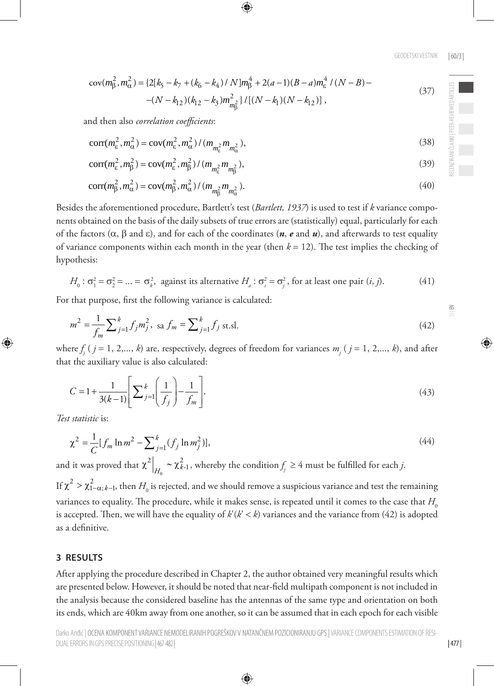$$
cov(m_{\beta}^{2}, m_{\alpha}^{2}) = \{2[k_{5} - k_{7} + (k_{6} - k_{4}) / N]m_{\beta}^{4} + 2(a - 1)(B - a)m_{\epsilon}^{4} / (N - B) - (N - k_{12})(k_{12} - k_{3})m_{m_{\beta}^{2}}^{2} \} / [(N - k_{1})(N - k_{12})],
$$
\n(37)

and then also *correlation coefficients*:

$$
corr(m_{\varepsilon}^2, m_{\alpha}^2) = cov(m_{\varepsilon}^2, m_{\alpha}^2) / (m_{m_{\varepsilon}^2} m_{m_{\alpha}^2}),
$$
\n(38)

$$
corr(m_{\varepsilon}^2, m_{\beta}^2) = cov(m_{\varepsilon}^2, m_{\beta}^2) / (m_{m_{\varepsilon}^2} m_{m_{\beta}^2}),
$$
\n(39)

$$
corr(m_{\beta}^2, m_{\alpha}^2) = cov(m_{\beta}^2, m_{\alpha}^2) / (m_{m_{\beta}^2} m_{m_{\alpha}^2}).
$$
\n(40)

Besides the aforementioned procedure, Bartlett's test (*Bartlett, 1937*) is used to test if *k* variance components obtained on the basis of the daily subsets of true errors are (statistically) equal, particularly for each of the factors ( $\alpha$ ,  $\beta$  and  $\epsilon$ ), and for each of the coordinates (*n*, *e* and *u*), and afterwards to test equality of variance components within each month in the year (then *k* = 12). The test implies the checking of hypothesis:

$$
H_0: \sigma_1^2 = \sigma_2^2 = \dots = \sigma_k^2
$$
, against its alternative  $H_a: \sigma_i^2 = \sigma_j^2$ , for at least one pair  $(i, j)$ . (41)

For that purpose, first the following variance is calculated:

$$
m^{2} = \frac{1}{f_{m}} \sum_{j=1}^{k} f_{j} m_{j}^{2}, \text{ sa } f_{m} = \sum_{j=1}^{k} f_{j} \text{ st.s.}
$$
\n(42)

where  $f_j$  (  $j = 1, 2,..., k$ ) are, respectively, degrees of freedom for variances  $m_j$  (  $j = 1, 2,..., k$ ), and after that the auxiliary value is also calculated:

$$
C = 1 + \frac{1}{3(k-1)} \left[ \sum_{j=1}^{k} \left( \frac{1}{f_j} \right) - \frac{1}{f_m} \right].
$$
 (43)

*Test statistic* is:

$$
\chi^2 = \frac{1}{C} [f_m \ln m^2 - \sum_{j=1}^k (f_j \ln m_j^2)],
$$
\n(44)

and it was proved that  $\chi^2\Big|_{H_0} \sim \chi^2_{k-1}$ , whereby the condition  $f_j \geq 4$  must be fulfilled for each *j*. If  $\chi^2 > \chi^2_{1-\alpha;k-1}$ , then  $H_0$  is rejected, and we should remove a suspicious variance and test the remaining variances to equality. The procedure, while it makes sense, is repeated until it comes to the case that  $H_0$ is accepted. Then, we will have the equality of  $k'(k' < k)$  variances and the variance from (42) is adopted as a definitive.

#### **3 RESULTS**

After applying the procedure described in Chapter 2, the author obtained very meaningful results which are presented below. However, it should be noted that near-field multipath component is not included in the analysis because the considered baseline has the antennas of the same type and orientation on both its ends, which are 40km away from one another, so it can be assumed that in each epoch for each visible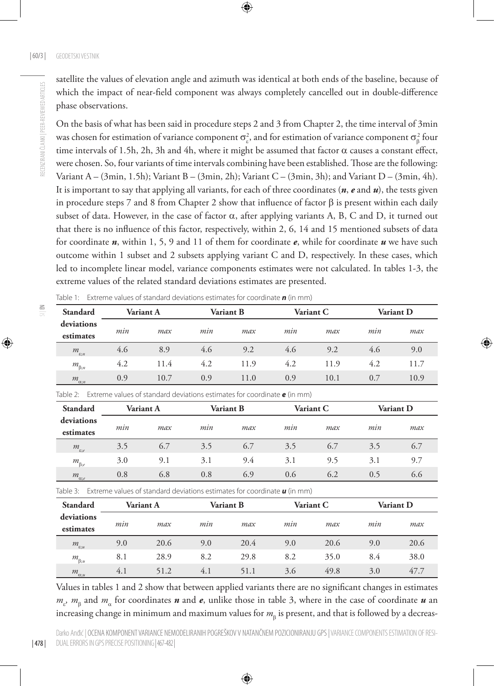satellite the values of elevation angle and azimuth was identical at both ends of the baseline, because of which the impact of near-field component was always completely cancelled out in double-difference phase observations.

On the basis of what has been said in procedure steps 2 and 3 from Chapter 2, the time interval of 3min was chosen for estimation of variance component  $\sigma_{\varepsilon}^2$ , and for estimation of variance component  $\sigma_{\beta}^2$  four time intervals of 1.5h, 2h, 3h and 4h, where it might be assumed that factor  $\alpha$  causes a constant effect, were chosen. So, four variants of time intervals combining have been established. Those are the following: Variant A – (3min, 1.5h); Variant B – (3min, 2h); Variant C – (3min, 3h); and Variant D – (3min, 4h). It is important to say that applying all variants, for each of three coordinates (*n*, *e* and *u*), the tests given in procedure steps 7 and 8 from Chapter 2 show that influence of factor  $\beta$  is present within each daily subset of data. However, in the case of factor  $\alpha$ , after applying variants A, B, C and D, it turned out that there is no influence of this factor, respectively, within 2, 6, 14 and 15 mentioned subsets of data for coordinate *n*, within 1, 5, 9 and 11 of them for coordinate *e*, while for coordinate *u* we have such outcome within 1 subset and 2 subsets applying variant C and D, respectively. In these cases, which led to incomplete linear model, variance components estimates were not calculated. In tables 1-3, the extreme values of the related standard deviations estimates are presented.

| Table 1: Extreme values of standard deviations estimates for coordinate $\boldsymbol{n}$ (in mm) |  |  |
|--------------------------------------------------------------------------------------------------|--|--|
|--------------------------------------------------------------------------------------------------|--|--|

| Standard                | Variant A |      | Variant B |      | Variant C |      | Variant D |      |
|-------------------------|-----------|------|-----------|------|-----------|------|-----------|------|
| deviations<br>estimates | mın       | max  | mın       | max  | mın       | max  | mın       | max  |
| $m_{\varepsilon;n}$     | 4.6       | 8.9  | 4.6       | 9.2  | 4.6       | 9.2  | 4.6       | 9.0  |
| $m_{\beta;n}$           | 4.2       | 11.4 | 4.2       | 11.9 | 4.2       | 11.9 | 4.2       | 11.7 |
| $m_{\alpha;n}$          | 0.9       | 10.7 | 0.9       | 11.0 | 0.9       | 10.1 | 0.7       | 10.9 |

Table 2: Extreme values of standard deviations estimates for coordinate *e* (in mm)

| Standard                |     | Variant A |     | Variant B |     | Variant C |     | Variant D |  |
|-------------------------|-----|-----------|-----|-----------|-----|-----------|-----|-----------|--|
| deviations<br>estimates | mın | max       | mın | max       | min | max       | mın | max       |  |
| $m_{\varepsilon,e}$     | 3.5 | 6.7       | 3.5 | 6.7       | 3.5 | 6.7       | 3.5 | 6.7       |  |
| $m_{\beta;e}$           | 3.0 | 9.1       | 3.1 | 9.4       | 3.1 | 9.5       | 3.1 | 9.7       |  |
| $m_{\alpha;e}$          | 0.8 | 6.8       | 0.8 | 6.9       | 0.6 | 6.2       | 0.5 | 6.6       |  |

Table 3: Extreme values of standard deviations estimates for coordinate *u* (in mm)

| Standard                | Variant A |      | Variant B |      | Variant C |      | <b>Variant D</b> |      |
|-------------------------|-----------|------|-----------|------|-----------|------|------------------|------|
| deviations<br>estimates | mın       | max  | mın       | max  | mın       | max  | mın              | max  |
| $m_{\varepsilon; u}$    | 9.0       | 20.6 | 9.0       | 20.4 | 9.0       | 20.6 | 9.0              | 20.6 |
| $m_{\beta;u}$           | 8.1       | 28.9 | 8.2       | 29.8 | 8.2       | 35.0 | 8.4              | 38.0 |
| $m_{\alpha; u}$         | 4.1       | 51.2 | 4.1       | 51.1 | 3.6       | 49.8 | 3.0              | 47.7 |

Values in tables 1 and 2 show that between applied variants there are no significant changes in estimates *m<sub>ε</sub>*, *m*<sub>β</sub> and *m*<sub>α</sub> for coordinates *n* and *e*, unlike those in table 3, where in the case of coordinate *u* an increasing change in minimum and maximum values for  $m_{\rm{g}}$  is present, and that is followed by a decreas-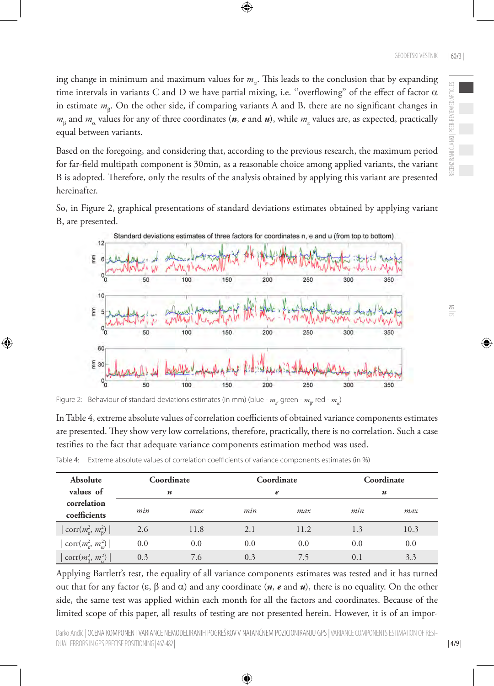ing change in minimum and maximum values for  $m_a$ . This leads to the conclusion that by expanding time intervals in variants C and D we have partial mixing, i.e. "overflowing" of the effect of factor  $α$ in estimate *m*<sub>β</sub>. On the other side, if comparing variants A and B, there are no significant changes in  $m_{\beta}$  and  $m_{\alpha}$  values for any of three coordinates ( $n$ ,  $e$  and  $u$ ), while  $m_{\epsilon}$  values are, as expected, practically equal between variants.

Based on the foregoing, and considering that, according to the previous research, the maximum period for far-field multipath component is 30min, as a reasonable choice among applied variants, the variant B is adopted. Therefore, only the results of the analysis obtained by applying this variant are presented hereinafter.

So, in Figure 2, graphical presentations of standard deviations estimates obtained by applying variant B, are presented.



Figure 2: Behaviour of standard deviations estimates (in mm) (blue -  $m_{_{E'}}$ green -  $m_{_{B'}}$ red -  $m_{_{\alpha}}$ )

In Table 4, extreme absolute values of correlation coefficients of obtained variance components estimates are presented. They show very low correlations, therefore, practically, there is no correlation. Such a case testifies to the fact that adequate variance components estimation method was used.

| Table 4: Extreme absolute values of correlation coefficients of variance components estimates (in %) |  |  |  |
|------------------------------------------------------------------------------------------------------|--|--|--|
|                                                                                                      |  |  |  |

| Absolute<br>values of                                             | Coordinate<br>n |      | Coordinate<br>e |      | Coordinate<br>$\boldsymbol{u}$ |      |
|-------------------------------------------------------------------|-----------------|------|-----------------|------|--------------------------------|------|
| correlation<br>coefficients                                       | min             | max  | min             | max  | min                            | max  |
| $\vert \operatorname{corr}(m_{\varepsilon}^2, m_{\beta}^2) \vert$ | 2.6             | 11.8 | 2.1             | 11.2 | 1.3                            | 10.3 |
| $\vert \operatorname{corr}(m_e^2, m_\alpha^2) \vert$              | 0.0             | 0.0  | 0.0             | 0.0  | 0.0                            | 0.0  |
| $\text{corr}(m_{\beta}^2, m_{\alpha}^2)$                          | 0.3             | 7.6  | 0.3             | 7.5  | 0.1                            | 3.3  |

Applying Bartlett's test, the equality of all variance components estimates was tested and it has turned out that for any factor (ε, β and  $\alpha$ ) and any coordinate (*n*, *e* and *u*), there is no equality. On the other side, the same test was applied within each month for all the factors and coordinates. Because of the limited scope of this paper, all results of testing are not presented herein. However, it is of an impor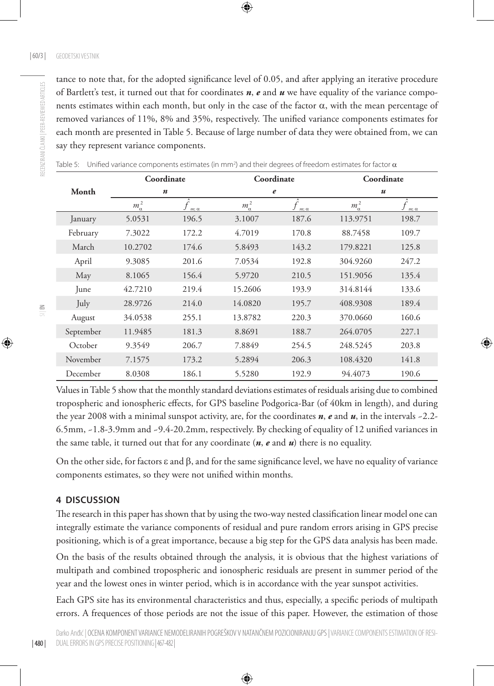RECENZIRANI ČLANKI | PEER-REVIEWED ARTICLES

RECENZIRANI ČLANKI | PEER-REVIEWED ARTICLES

tance to note that, for the adopted significance level of 0.05, and after applying an iterative procedure of Bartlett's test, it turned out that for coordinates *n*, *e* and *u* we have equality of the variance components estimates within each month, but only in the case of the factor  $\alpha$ , with the mean percentage of removed variances of 11%, 8% and 35%, respectively. The unified variance components estimates for each month are presented in Table 5. Because of large number of data they were obtained from, we can say they represent variance components.

|           | Coordinate<br>$\boldsymbol{n}$ |                | Coordinate     |                | Coordinate       |                  |
|-----------|--------------------------------|----------------|----------------|----------------|------------------|------------------|
| Month     |                                |                | e              |                | $\boldsymbol{u}$ |                  |
|           | $m_{\alpha}^2$                 | $m$ ; $\alpha$ | $m_{\alpha}^2$ | $m$ ; $\alpha$ | $m_{\alpha}^2$   | f<br>$m; \alpha$ |
| January   | 5.0531                         | 196.5          | 3.1007         | 187.6          | 113.9751         | 198.7            |
| February  | 7.3022                         | 172.2          | 4.7019         | 170.8          | 88.7458          | 109.7            |
| March     | 10.2702                        | 174.6          | 5.8493         | 143.2          | 179.8221         | 125.8            |
| April     | 9.3085                         | 201.6          | 7.0534         | 192.8          | 304.9260         | 247.2            |
| May       | 8.1065                         | 156.4          | 5.9720         | 210.5          | 151.9056         | 135.4            |
| June      | 42.7210                        | 219.4          | 15.2606        | 193.9          | 314.8144         | 133.6            |
| July      | 28.9726                        | 214.0          | 14.0820        | 195.7          | 408.9308         | 189.4            |
| August    | 34.0538                        | 255.1          | 13.8782        | 220.3          | 370.0660         | 160.6            |
| September | 11.9485                        | 181.3          | 8.8691         | 188.7          | 264.0705         | 227.1            |
| October   | 9.3549                         | 206.7          | 7.8849         | 254.5          | 248.5245         | 203.8            |
| November  | 7.1575                         | 173.2          | 5.2894         | 206.3          | 108.4320         | 141.8            |
| December  | 8.0308                         | 186.1          | 5.5280         | 192.9          | 94.4073          | 190.6            |

Table 5: Unified variance components estimates (in mm<sup>2</sup>) and their degrees of freedom estimates for factor  $\alpha$ 

Values in Table 5 show that the monthly standard deviations estimates of residuals arising due to combined tropospheric and ionospheric effects, for GPS baseline Podgorica-Bar (of 40km in length), and during the year 2008 with a minimal sunspot activity, are, for the coordinates *n*, *e* and *u*, in the intervals ~2.2- 6.5mm, ~1.8-3.9mm and ~9.4-20.2mm, respectively. By checking of equality of 12 unified variances in the same table, it turned out that for any coordinate (*n*, *e* and *u*) there is no equality.

On the other side, for factors  $ε$  and  $β$ , and for the same significance level, we have no equality of variance components estimates, so they were not unified within months.

### **4 DISCUSSION**

The research in this paper has shown that by using the two-way nested classification linear model one can integrally estimate the variance components of residual and pure random errors arising in GPS precise positioning, which is of a great importance, because a big step for the GPS data analysis has been made.

On the basis of the results obtained through the analysis, it is obvious that the highest variations of multipath and combined tropospheric and ionospheric residuals are present in summer period of the year and the lowest ones in winter period, which is in accordance with the year sunspot activities.

Each GPS site has its environmental characteristics and thus, especially, a specific periods of multipath errors. A frequences of those periods are not the issue of this paper. However, the estimation of those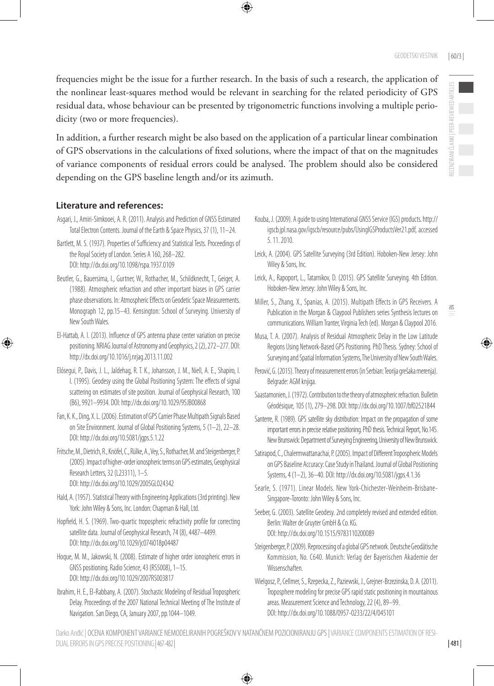frequencies might be the issue for a further research. In the basis of such a research, the application of the nonlinear least-squares method would be relevant in searching for the related periodicity of GPS residual data, whose behaviour can be presented by trigonometric functions involving a multiple periodicity (two or more frequencies).

In addition, a further research might be also based on the application of a particular linear combination of GPS observations in the calculations of fixed solutions, where the impact of that on the magnitudes of variance components of residual errors could be analysed. The problem should also be considered depending on the GPS baseline length and/or its azimuth.

# **Literature and references:**

- Asgari, J., Amiri-Simkooei, A. R. (2011). Analysis and Prediction of GNSS Estimated Total Electron Contents. Journal of the Earth & Space Physics, 37 (1), 11–24.
- Bartlett, M. S. (1937). Properties of Sufficiency and Statistical Tests. Proceedings of the Royal Society of London. Series A 160, 268–282. DOI: <http://dx.doi.org/10.1098/rspa.1937.0109>
- Beutler, G., Bauersima, I., Gurtner, W., Rothacher, M., Schildknecht, T., Geiger, A. (1988). Atmospheric refraction and other important biases in GPS carrier phase observations. In: Atmospheric Effects on Geodetic Space Measurements. Monograph 12, pp.15–43. Kensington: School of Surveying. University of New South Wales.
- El-Hattab, A. I. (2013). Influence of GPS antenna phase center variation on precise positioning. NRIAG Journal of Astronomy and Geophysics, 2 (2), 272–277. [DOI:](DOI:%20http://dx.doi.org/10.1016/j.nrjag.2013.11.002)  [http://dx.doi.org/10.1016/j.nrjag.2013.11.002](DOI:%20http://dx.doi.org/10.1016/j.nrjag.2013.11.002)
- Elósegui, P., Davis, J. L., Jaldehag, R. T. K., Johansson, J. M., Niell, A. E., Shapiro, I. I. (1995). Geodesy using the Global Positioning System: The effects of signal scattering on estimates of site position. Journal of Geophysical Research, 100 (B6), 9921–9934. DOI: http://dx.doi.org/[10.1029/95JB00868](http://dx.doi.org/10.1029/95JB00868)
- Fan, K. K., Ding, X. L. (2006). Estimation of GPS Carrier Phase Multipath Signals Based on Site Environment. Journal of Global Positioning Systems, 5 (1–2), 22–28. DOI: <http://dx.doi.org/10.5081/jgps.5.1.22>
- Fritsche, M., Dietrich, R., Knöfel, C., Rülke, A., Vey, S., Rothacher, M. and Steigenberger, P. (2005). Impact of higher-order ionospheric terms on GPS estimates, Geophysical Research Letters, 32 (L23311), 1–5. DOI: http://dx.doi.org[/10.1029/2005GL024342](http://dx.doi.org/10.1029/2005GL024342)
- Hald, A. (1957). Statistical Theory with Engineering Applications (3rd printing). New York: John Wiley & Sons, Inc. London: Chapman & Hall, Ltd.
- Hopfield, H. S. (1969). Two-quartic tropospheric refractivity profile for correcting satellite data. Journal of Geophysical Research, 74 (8), 4487–4499. DOI: <http://dx.doi.org/10.1029/jc074i018p04487>
- Hoque, M. M., Jakowski, N. (2008). Estimate of higher order ionospheric errors in GNSS positioning. Radio Science, 43 (RS5008), 1–15. DOI: http://dx.doi.org/10.1029/2007RS003817
- Ibrahim, H. E., El-Rabbany, A. (2007). Stochastic Modeling of Residual Tropospheric Delay. Proceedings of the 2007 National Technical Meeting of The Institute of Navigation. San Diego, CA, January 2007, pp.1044–1049.
- Kouba, J. (2009). A guide to using International GNSS Service (IGS) products. http:// igscb.jpl.nasa.gov/igscb/resource/pubs/UsingIGSProductsVer21.pdf, accessed 5. 11. 2010.
- Leick, A. (2004). GPS Satellite Surveying (3rd Edition). Hoboken-New Jersey: John Wiley & Sons, Inc.
- Leick, A., Rapoport, L., Tatarnikov, D. (2015). GPS Satellite Surveying. 4th Edition. Hoboken-New Jersey: John Wiley & Sons, Inc.
- Miller, S., Zhang, X., Spanias, A. (2015). Multipath Effects in GPS Receivers. A Publication in the Morgan & Claypool Publishers series Synthesis lectures on communications. William Tranter, Virginia Tech (ed). Morgan & Claypool 2016.
- Musa, T. A. (2007). Analysis of Residual Atmospheric Delay in the Low Latitude Regions Using Network-Based GPS Positioning. PhD Thesis. Sydney: School of Surveying and Spatial Information Systems, The University of New South Wales.
- Perović, G. (2015). Theory of measurement errors (in Serbian: Teorija grešaka merenja). Belgrade: AGM knjiga.
- Saastamonien, J. (1972). Contribution to the theory of atmospheric refraction. Bulletin Géodésique, 105 (1), 279–298. DOI: <http://dx.doi.org/10.1007/bf02521844>
- Santerre, R. (1989). GPS satellite sky distribution: Impact on the propagation of some important errors in precise relative positioning. PhD thesis. Technical Report, No.145. New Brunswick: Department of Surveying Engineering, University of New Brunswick.
- Satirapod, C., Chalermwattanachai, P. (2005). Impact of Different Tropospheric Models on GPS Baseline Accuracy: Case Study in Thailand. Journal of Global Positioning Systems, 4 (1–2), 36–40. DOI:<http://dx.doi.org/10.5081/jgps.4.1.36>
- Searle, S. (1971). Linear Models. New York-Chichester-Weinheim-Brisbane-Singapore-Toronto: John Wiley & Sons, Inc.
- Seeber, G. (2003). Satellite Geodesy. 2nd completely revised and extended edition. Berlin: Walter de Gruyter GmbH & Co. KG. DOI: <http://dx.doi.org/10.1515/9783110200089>
- Steigenberger, P. (2009). Reprocessing of a global GPS network. Deutsche Geodätische Kommission, No. C640. Munich: Verlag der Bayerischen Akademie der Wissenschaften.
- Wielgosz, P., Cellmer, S., Rzepecka, Z., Paziewski, J., Grejner-Brzezinska, D. A. (2011). Troposphere modeling for precise GPS rapid static positioning in mountainous areas. Measurement Science and Technology, 22 (4), 89–99. DOI: <http://dx.doi.org/10.1088/0957-0233/22/4/045101>

Darko Anđić | OCENA KOMPONENT VARIANCE NEMODELIRANIH POGREŠKOV V NATANČNEM POZICIONIRANJU GPS | VARIANCE COMPONENTS ESTIMATION OF RESI-DUAL ERRORS IN GPS PRECISE POSITIONING| 467-482|